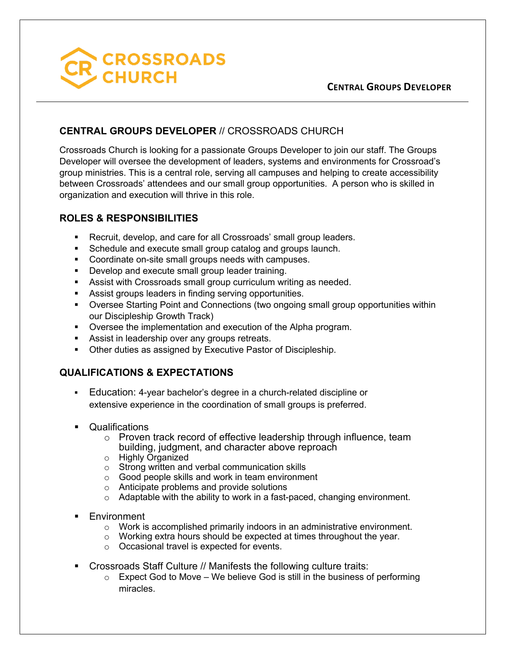

#### **CENTRAL GROUPS DEVELOPER**

## **CENTRAL GROUPS DEVELOPER** // CROSSROADS CHURCH

Crossroads Church is looking for a passionate Groups Developer to join our staff. The Groups Developer will oversee the development of leaders, systems and environments for Crossroad's group ministries. This is a central role, serving all campuses and helping to create accessibility between Crossroads' attendees and our small group opportunities. A person who is skilled in organization and execution will thrive in this role.

### **ROLES & RESPONSIBILITIES**

- Recruit, develop, and care for all Crossroads' small group leaders.
- Schedule and execute small group catalog and groups launch.
- Coordinate on-site small groups needs with campuses.
- **Develop and execute small group leader training.**
- Assist with Crossroads small group curriculum writing as needed.
- **Assist groups leaders in finding serving opportunities.**
- § Oversee Starting Point and Connections (two ongoing small group opportunities within our Discipleship Growth Track)
- § Oversee the implementation and execution of the Alpha program.
- Assist in leadership over any groups retreats.
- Other duties as assigned by Executive Pastor of Discipleship.

# **QUALIFICATIONS & EXPECTATIONS**

- § Education: 4-year bachelor's degree in a church-related discipline or extensive experience in the coordination of small groups is preferred.
- Qualifications
	- o Proven track record of effective leadership through influence, team building, judgment, and character above reproach
	- o Highly Organized
	- o Strong written and verbal communication skills
	- o Good people skills and work in team environment
	- o Anticipate problems and provide solutions
	- o Adaptable with the ability to work in a fast-paced, changing environment.
- **Environment** 
	- o Work is accomplished primarily indoors in an administrative environment.
	- o Working extra hours should be expected at times throughout the year.
	- o Occasional travel is expected for events.
- Crossroads Staff Culture // Manifests the following culture traits:
	- $\circ$  Expect God to Move We believe God is still in the business of performing miracles.